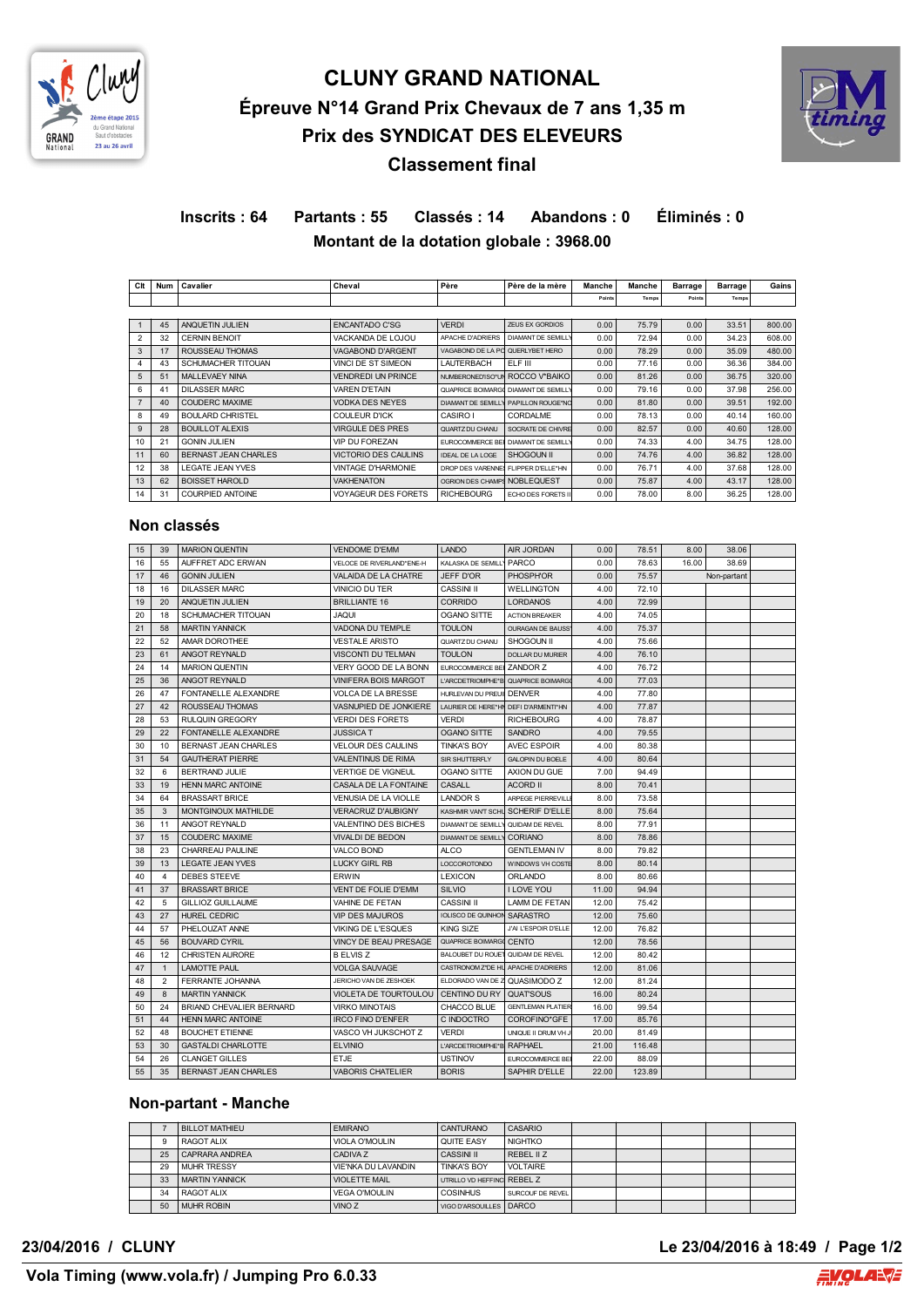

# **CLUNY GRAND NATIONAL Épreuve N°14 Grand Prix Chevaux de 7 ans 1,35 m Prix des SYNDICAT DES ELEVEURS Classement final**



## **Inscrits : 64 Partants : 55 Classés : 14 Abandons : 0 Éliminés : 0 Montant de la dotation globale : 3968.00**

| Clt            | <b>Num</b> | Cavalier                    | Cheval                      | Père                             | Père de la mère                      | Manche | Manche | <b>Barrage</b> | <b>Barrage</b> | Gains  |
|----------------|------------|-----------------------------|-----------------------------|----------------------------------|--------------------------------------|--------|--------|----------------|----------------|--------|
|                |            |                             |                             |                                  |                                      | Points | Temps  | Points         | Temps          |        |
|                |            |                             |                             |                                  |                                      |        |        |                |                |        |
|                | 45         | ANQUETIN JULIEN             | <b>ENCANTADO C'SG</b>       | <b>VERDI</b>                     | ZEUS EX GORDIOS                      | 0.00   | 75.79  | 0.00           | 33.51          | 800.00 |
| $\overline{2}$ | 32         | <b>CERNIN BENOIT</b>        | VACKANDA DE LOJOU           | <b>APACHE D'ADRIERS</b>          | DIAMANT DE SEMILLY                   | 0.00   | 72.94  | 0.00           | 34.23          | 608.00 |
| 3              | 17         | ROUSSEAU THOMAS             | VAGABOND D'ARGENT           | VAGABOND DE LA PC QUERLYBET HERO |                                      | 0.00   | 78.29  | 0.00           | 35.09          | 480.00 |
| 4              | 43         | SCHUMACHER TITOUAN          | VINCI DE ST SIMEON          | <b>LAUTERBACH</b>                | ELF III                              | 0.00   | 77.16  | 0.00           | 36.36          | 384.00 |
| 5              | 51         | MALLEVAEY NINA              | VENDREDI UN PRINCE          |                                  | NUMBERONED'ISO*UN ROCCO V*BAIKO      | 0.00   | 81.26  | 0.00           | 36.75          | 320.00 |
| 6              | 41         | <b>DILASSER MARC</b>        | <b>VAREN D'ETAIN</b>        |                                  | QUAPRICE BOIMARG( DIAMANT DE SEMILLY | 0.00   | 79.16  | 0.00           | 37.98          | 256.00 |
|                | 40         | <b>COUDERC MAXIME</b>       | <b>VODKA DES NEYES</b>      |                                  | DIAMANT DE SEMILLY PAPILLON ROUGE*NC | 0.00   | 81.80  | 0.00           | 39.51          | 192.00 |
| 8              | 49         | <b>BOULARD CHRISTEL</b>     | <b>COULEUR D'ICK</b>        | CASIRO I                         | CORDALME                             | 0.00   | 78.13  | 0.00           | 40.14          | 160.00 |
| 9              | 28         | <b>BOUILLOT ALEXIS</b>      | <b>VIRGULE DES PRES</b>     | QUARTZ DU CHANU                  | SOCRATE DE CHIVRE                    | 0.00   | 82.57  | 0.00           | 40.60          | 128.00 |
| 10             | 21         | <b>GONIN JULIEN</b>         | <b>VIP DU FOREZAN</b>       |                                  | EUROCOMMERCE BEI DIAMANT DE SEMILLY  | 0.00   | 74.33  | 4.00           | 34.75          | 128.00 |
| 11             | 60         | <b>BERNAST JEAN CHARLES</b> | <b>VICTORIO DES CAULINS</b> | <b>IDEAL DE LA LOGE</b>          | SHOGOUN II                           | 0.00   | 74.76  | 4.00           | 36.82          | 128.00 |
| 12             | 38         | <b>LEGATE JEAN YVES</b>     | <b>VINTAGE D'HARMONIE</b>   | <b>DROP DES VARENNE</b>          | FLIPPER D'ELLE*HN                    | 0.00   | 76.71  | 4.00           | 37.68          | 128.00 |
| 13             | 62         | <b>BOISSET HAROLD</b>       | <b>VAKHENATON</b>           | <b>OGRION DES CHAMPS</b>         | NOBLEQUEST                           | 0.00   | 75.87  | 4.00           | 43.17          | 128.00 |
| 14             | 31         | COURPIED ANTOINE            | <b>VOYAGEUR DES FORETS</b>  | <b>RICHEBOURG</b>                | ECHO DES FORETS II                   | 0.00   | 78.00  | 8.00           | 36.25          | 128.00 |

#### **Non classés**

| 15 | 39             | <b>MARION QUENTIN</b>     | <b>VENDOME D'EMM</b>         | <b>LANDO</b>                         | AIR JORDAN                         | 0.00  | 78.51  | 8.00  | 38.06       |  |
|----|----------------|---------------------------|------------------------------|--------------------------------------|------------------------------------|-------|--------|-------|-------------|--|
| 16 | 55             | AUFFRET ADC ERWAN         | VELOCE DE RIVERLAND*ENE-H    | KALASKA DE SEMILL'                   | <b>PARCO</b>                       | 0.00  | 78.63  | 16.00 | 38.69       |  |
| 17 | 46             | <b>GONIN JULIEN</b>       | VALAIDA DE LA CHATRE         | JEFF D'OR                            | <b>PHOSPH'OR</b>                   | 0.00  | 75.57  |       | Non-partant |  |
| 18 | 16             | <b>DILASSER MARC</b>      | VINICIO DU TER               | CASSINI II                           | <b>WELLINGTON</b>                  | 4.00  | 72.10  |       |             |  |
| 19 | 20             | ANQUETIN JULIEN           | <b>BRILLIANTE 16</b>         | <b>CORRIDO</b>                       | <b>LORDANOS</b>                    | 4.00  | 72.99  |       |             |  |
| 20 | 18             | SCHUMACHER TITOUAN        | <b>JAQUI</b>                 | <b>OGANO SITTE</b>                   | <b>ACTION BREAKER</b>              | 4.00  | 74.05  |       |             |  |
| 21 | 58             | <b>MARTIN YANNICK</b>     | VADONA DU TEMPLE             | <b>TOULON</b>                        | <b>OURAGAN DE BAUSS</b>            | 4.00  | 75.37  |       |             |  |
| 22 | 52             | AMAR DOROTHEE             | <b>VESTALE ARISTO</b>        | QUARTZ DU CHANU                      | SHOGOUN II                         | 4.00  | 75.66  |       |             |  |
| 23 | 61             | ANGOT REYNALD             | VISCONTI DU TELMAN           | <b>TOULON</b>                        | <b>DOLLAR DU MURIER</b>            | 4.00  | 76.10  |       |             |  |
| 24 | 14             | <b>MARION QUENTIN</b>     | VERY GOOD DE LA BONN         | EUROCOMMERCE BEI ZANDOR Z            |                                    | 4.00  | 76.72  |       |             |  |
| 25 | 36             | ANGOT REYNALD             | <b>VINIFERA BOIS MARGOT</b>  |                                      | L'ARCDETRIOMPHE*B QUAPRICE BOIMARG | 4.00  | 77.03  |       |             |  |
| 26 | 47             | FONTANELLE ALEXANDRE      | <b>VOLCA DE LA BRESSE</b>    | HURLEVAN DU PREUI                    | <b>DENVER</b>                      | 4.00  | 77.80  |       |             |  |
| 27 | 42             | ROUSSEAU THOMAS           | VASNUPIED DE JONKIERE        | LAURIER DE HERE*HI DEFI D'ARMENTI*HN |                                    | 4.00  | 77.87  |       |             |  |
| 28 | 53             | <b>RULQUIN GREGORY</b>    | <b>VERDI DES FORETS</b>      | <b>VERDI</b>                         | <b>RICHEBOURG</b>                  | 4.00  | 78.87  |       |             |  |
| 29 | 22             | FONTANELLE ALEXANDRE      | <b>JUSSICAT</b>              | <b>OGANO SITTE</b>                   | <b>SANDRO</b>                      | 4.00  | 79.55  |       |             |  |
| 30 | 10             | BERNAST JEAN CHARLES      | <b>VELOUR DES CAULINS</b>    | <b>TINKA'S BOY</b>                   | <b>AVEC ESPOIR</b>                 | 4.00  | 80.38  |       |             |  |
| 31 | 54             | <b>GAUTHERAT PIERRE</b>   | <b>VALENTINUS DE RIMA</b>    | SIR SHUTTERFLY                       | <b>GALOPIN DU BOELE</b>            | 4.00  | 80.64  |       |             |  |
| 32 | 6              | BERTRAND JULIE            | <b>VERTIGE DE VIGNEUL</b>    | <b>OGANO SITTE</b>                   | AXION DU GUE                       | 7.00  | 94.49  |       |             |  |
| 33 | 19             | <b>HENN MARC ANTOINE</b>  | CASALA DE LA FONTAINE        | CASALL                               | <b>ACORD II</b>                    | 8.00  | 70.41  |       |             |  |
| 34 | 64             | <b>BRASSART BRICE</b>     | VENUSIA DE LA VIOLLE         | <b>LANDOR S</b>                      | <b>ARPEGE PIERREVILL</b>           | 8.00  | 73.58  |       |             |  |
| 35 | 3              | MONTGINOUX MATHILDE       | <b>VERACRUZ D'AUBIGNY</b>    |                                      | KASHMIR VANT SCHL SCHERIF D'ELLE   | 8.00  | 75.64  |       |             |  |
| 36 | 11             | ANGOT REYNALD             | VALENTINO DES BICHES         | <b>DIAMANT DE SEMILLY</b>            | QUIDAM DE REVEL                    | 8.00  | 77.91  |       |             |  |
| 37 | 15             | <b>COUDERC MAXIME</b>     | VIVALDI DE BEDON             | <b>DIAMANT DE SEMILLY</b>            | <b>CORIANO</b>                     | 8.00  | 78.86  |       |             |  |
| 38 | 23             | CHARREAU PAULINE          | VALCO BOND                   | <b>ALCO</b>                          | <b>GENTLEMAN IV</b>                | 8.00  | 79.82  |       |             |  |
| 39 | 13             | <b>LEGATE JEAN YVES</b>   | <b>LUCKY GIRL RB</b>         | <b>LOCCOROTONDO</b>                  | WINDOWS VH COSTE                   | 8.00  | 80.14  |       |             |  |
| 40 | $\overline{4}$ | DEBES STEEVE              | <b>ERWIN</b>                 | <b>LEXICON</b>                       | ORLANDO                            | 8.00  | 80.66  |       |             |  |
| 41 | 37             | <b>BRASSART BRICE</b>     | VENT DE FOLIE D'EMM          | <b>SILVIO</b>                        | <b>I LOVE YOU</b>                  | 11.00 | 94.94  |       |             |  |
| 42 | 5              | <b>GILLIOZ GUILLAUME</b>  | VAHINE DE FETAN              | <b>CASSINI II</b>                    | LAMM DE FETAN                      | 12.00 | 75.42  |       |             |  |
| 43 | 27             | <b>HUREL CEDRIC</b>       | <b>VIP DES MAJUROS</b>       | IOLISCO DE QUINHON SARASTRO          |                                    | 12.00 | 75.60  |       |             |  |
| 44 | 57             | PHELOUZAT ANNE            | VIKING DE L'ESQUES           | <b>KING SIZE</b>                     | J'AI L'ESPOIR D'ELLE               | 12.00 | 76.82  |       |             |  |
| 45 | 56             | <b>BOUVARD CYRIL</b>      | VINCY DE BEAU PRESAGE        | QUAPRICE BOIMARG( CENTO              |                                    | 12.00 | 78.56  |       |             |  |
| 46 | 12             | CHRISTEN AURORE           | <b>B ELVIS Z</b>             | <b>BALOUBET DU ROUET</b>             | QUIDAM DE REVEL                    | 12.00 | 80.42  |       |             |  |
| 47 | $\overline{1}$ | <b>LAMOTTE PAUL</b>       | <b>VOLGA SAUVAGE</b>         | CASTRONOM Z*DE HU APACHE D'ADRIERS   |                                    | 12.00 | 81.06  |       |             |  |
| 48 | $\overline{2}$ | FERRANTE JOHANNA          | JERICHO VAN DE ZESHOEK       | ELDORADO VAN DE 2 QUASIMODO Z        |                                    | 12.00 | 81.24  |       |             |  |
| 49 | 8              | <b>MARTIN YANNICK</b>     | <b>VIOLETA DE TOURTOULOU</b> | CENTINO DU RY                        | QUATSOUS                           | 16.00 | 80.24  |       |             |  |
| 50 | 24             | BRIAND CHEVALIER BERNARD  | <b>VIRKO MINOTAIS</b>        | CHACCO BLUE                          | <b>GENTLEMAN PLATIER</b>           | 16.00 | 99.54  |       |             |  |
| 51 | 44             | HENN MARC ANTOINE         | <b>IRCO FINO D'ENFER</b>     | C INDOCTRO                           | COROFINO*GFE                       | 17.00 | 85.76  |       |             |  |
| 52 | 48             | <b>BOUCHET ETIENNE</b>    | VASCO VH JUKSCHOT Z          | VERDI                                | UNIQUE II DRUM VH                  | 20.00 | 81.49  |       |             |  |
| 53 | 30             | <b>GASTALDI CHARLOTTE</b> | <b>ELVINIO</b>               | L'ARCDETRIOMPHE*B RAPHAEL            |                                    | 21.00 | 116.48 |       |             |  |
| 54 | 26             | <b>CLANGET GILLES</b>     | <b>ETJE</b>                  | <b>USTINOV</b>                       | EUROCOMMERCE BE                    | 22.00 | 88.09  |       |             |  |
| 55 | 35             | BERNAST JEAN CHARLES      | <b>VABORIS CHATELIER</b>     | <b>BORIS</b>                         | SAPHIR D'ELLE                      | 22.00 | 123.89 |       |             |  |

### **Non-partant - Manche**

|    | <b>BILLOT MATHIEU</b> | <b>FMIRANO</b>       | <b>CANTURANO</b>           | CASARIO          |  |  |  |
|----|-----------------------|----------------------|----------------------------|------------------|--|--|--|
|    | RAGOT ALIX            | VIOLA O'MOULIN       | <b>QUITE FASY</b>          | <b>NIGHTKO</b>   |  |  |  |
| 25 | CAPRARA ANDREA        | CADIVA Z             | CASSINI II                 | RFBFL II Z       |  |  |  |
| 29 | <b>MUHR TRESSY</b>    | VIF'NKA DU LAVANDIN  | <b>TINKA'S BOY</b>         | <b>VOLTAIRE</b>  |  |  |  |
| 33 | <b>MARTIN YANNICK</b> | <b>VIOLETTE MAIL</b> | UTRILLO VD HEFFINC REBEL Z |                  |  |  |  |
| 34 | RAGOT ALIX            | VEGA O'MOULIN        | <b>COSINHUS</b>            | SURCOUF DE REVEL |  |  |  |
| 50 | <b>MUHR ROBIN</b>     | VINO <sub>Z</sub>    | VIGO D'ARSOUILLES   DARCO  |                  |  |  |  |

**23/04/2016 / CLUNY Le 23/04/2016 à 18:49 / Page 1/2**